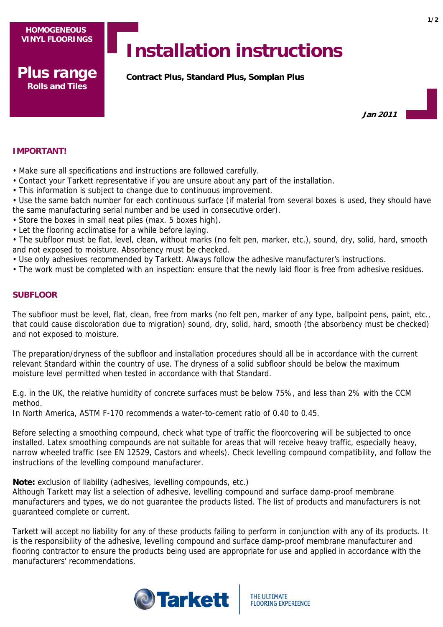**Plus range Rolls and Tiles**

# **Installation instructions**

**Contract Plus, Standard Plus, Somplan Plus**

**Jan 2011**

# **IMPORTANT!**

- Make sure all specifications and instructions are followed carefully.
- Contact your Tarkett representative if you are unsure about any part of the installation.
- This information is subject to change due to continuous improvement.
- Use the same batch number for each continuous surface (if material from several boxes is used, they should have the same manufacturing serial number and be used in consecutive order).
- Store the boxes in small neat piles (max. 5 boxes high).
- Let the flooring acclimatise for a while before laying.
- The subfloor must be flat, level, clean, without marks (no felt pen, marker, etc.), sound, dry, solid, hard, smooth and not exposed to moisture. Absorbency must be checked.
- Use only adhesives recommended by Tarkett. Always follow the adhesive manufacturer's instructions.
- The work must be completed with an inspection: ensure that the newly laid floor is free from adhesive residues.

# **SUBFLOOR**

The subfloor must be level, flat, clean, free from marks (no felt pen, marker of any type, ballpoint pens, paint, etc., that could cause discoloration due to migration) sound, dry, solid, hard, smooth (the absorbency must be checked) and not exposed to moisture.

The preparation/dryness of the subfloor and installation procedures should all be in accordance with the current relevant Standard within the country of use. The dryness of a solid subfloor should be below the maximum moisture level permitted when tested in accordance with that Standard.

E.g. in the UK, the relative humidity of concrete surfaces must be below 75%, and less than 2% with the CCM method.

In North America, ASTM F-170 recommends a water-to-cement ratio of 0.40 to 0.45.

Before selecting a smoothing compound, check what type of traffic the floorcovering will be subjected to once installed. Latex smoothing compounds are not suitable for areas that will receive heavy traffic, especially heavy, narrow wheeled traffic (see EN 12529, Castors and wheels). Check levelling compound compatibility, and follow the instructions of the levelling compound manufacturer.

**Note:** exclusion of liability (adhesives, levelling compounds, etc.)

Although Tarkett may list a selection of adhesive, levelling compound and surface damp-proof membrane manufacturers and types, we do not guarantee the products listed. The list of products and manufacturers is not guaranteed complete or current.

Tarkett will accept no liability for any of these products failing to perform in conjunction with any of its products. It is the responsibility of the adhesive, levelling compound and surface damp-proof membrane manufacturer and flooring contractor to ensure the products being used are appropriate for use and applied in accordance with the manufacturers' recommendations.